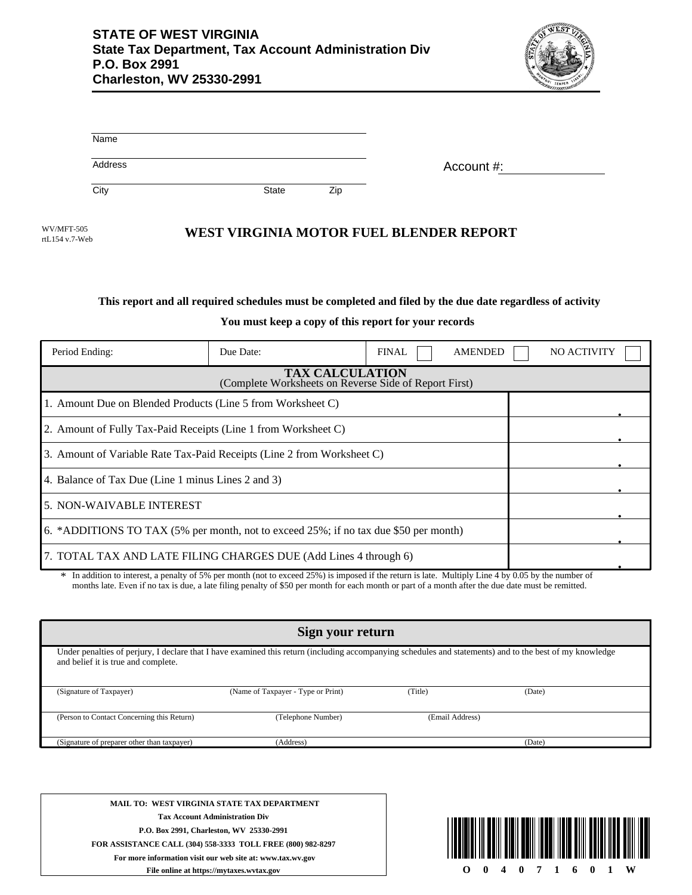

| Name    |       |     |            |
|---------|-------|-----|------------|
| Address |       |     | Account #: |
| City    | State | Zip |            |

rtL154 v.7-Web

## WEST VIRGINIA MOTOR FUEL BLENDER REPORT

## **This report and all required schedules must be completed and filed by the due date regardless of activity**

**You must keep a copy of this report for your records**

| Period Ending:                                                                       | Due Date:                                                      | <b>FINAL</b> | <b>AMENDED</b> | <b>NO ACTIVITY</b> |  |  |  |
|--------------------------------------------------------------------------------------|----------------------------------------------------------------|--------------|----------------|--------------------|--|--|--|
| <b>TAX CALCULATION</b><br>(Complete Worksheets on Reverse Side of Report First)      |                                                                |              |                |                    |  |  |  |
| 1. Amount Due on Blended Products (Line 5 from Worksheet C)                          |                                                                |              |                |                    |  |  |  |
|                                                                                      | 2. Amount of Fully Tax-Paid Receipts (Line 1 from Worksheet C) |              |                |                    |  |  |  |
| 3. Amount of Variable Rate Tax-Paid Receipts (Line 2 from Worksheet C)               |                                                                |              |                |                    |  |  |  |
| 4. Balance of Tax Due (Line 1 minus Lines 2 and 3)                                   |                                                                |              |                |                    |  |  |  |
| 5. NON-WAIVABLE INTEREST                                                             |                                                                |              |                |                    |  |  |  |
| 6. *ADDITIONS TO TAX (5% per month, not to exceed 25%; if no tax due \$50 per month) |                                                                |              |                |                    |  |  |  |
| 7. TOTAL TAX AND LATE FILING CHARGES DUE (Add Lines 4 through 6)                     |                                                                |              |                |                    |  |  |  |

In addition to interest, a penalty of 5% per month (not to exceed 25%) is imposed if the return is late. Multiply Line 4 by 0.05 by the number of \* months late. Even if no tax is due, a late filing penalty of \$50 per month for each month or part of a month after the due date must be remitted.

| Sign your return                                                                                                                                                                                |                                    |                 |        |  |  |
|-------------------------------------------------------------------------------------------------------------------------------------------------------------------------------------------------|------------------------------------|-----------------|--------|--|--|
| Under penalties of perjury, I declare that I have examined this return (including accompanying schedules and statements) and to the best of my knowledge<br>and belief it is true and complete. |                                    |                 |        |  |  |
| (Signature of Taxpayer)                                                                                                                                                                         | (Name of Taxpayer - Type or Print) | (Title)         | (Date) |  |  |
| (Person to Contact Concerning this Return)                                                                                                                                                      | (Telephone Number)                 | (Email Address) |        |  |  |
| (Signature of preparer other than taxpayer)                                                                                                                                                     | (Address)                          |                 | (Date) |  |  |

**MAIL TO: WEST VIRGINIA STATE TAX DEPARTMENT Tax Account Administration Div P.O. Box 2991, Charleston, WV 25330-2991 FOR ASSISTANCE CALL (304) 558-3333 TOLL FREE (800) 982-8297 For more information visit our web site at: www.tax.wv.gov File online at https://mytaxes.wvtax.gov**